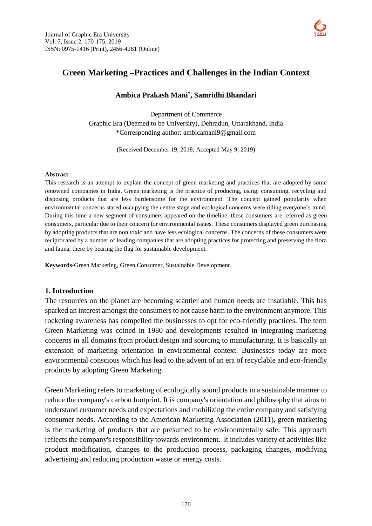

# **Green Marketing –Practices and Challenges in the Indian Context**

#### **Ambica Prakash Mani\* , Samridhi Bhandari**

Department of Commerce Graphic Era (Deemed to be University), Dehradun, Uttarakhand, India \*Corresponding author: [ambicamani9@gmail.com](mailto:ambicamani9@Gmail.Com)

(Received December 19, 2018; Accepted May 9, 2019)

#### **Abstract**

This research is an attempt to explain the concept of green marketing and practices that are adopted by some renowned companies in India. Green marketing is the practice of producing, using, consuming, recycling and disposing products that are less burdensome for the environment. The concept gained popularity when environmental concerns stared occupying the centre stage and ecological concerns were riding everyone's mind. During this time a new segment of consumers appeared on the timeline, these consumers are referred as green consumers, particular due to their concern for environmental issues. These consumers displayed green purchasing by adopting products that are non toxic and have less ecological concerns. The concerns of these consumers were reciprocated by a number of leading companies that are adopting practices for protecting and preserving the flora and fauna, there by bearing the flag for sustainable development.

**Keywords-**Green Marketing, Green Consumer, Sustainable Development.

#### **1. Introduction**

The resources on the planet are becoming scantier and human needs are insatiable. This has sparked an interest amongst the consumers to not cause harm to the environment anymore. This rocketing awareness has compelled the businesses to opt for eco-friendly practices. The term Green Marketing was coined in 1980 and developments resulted in integrating marketing concerns in all domains from product design and sourcing to manufacturing. It is basically an extension of marketing orientation in environmental context. Businesses today are more environmental conscious which has lead to the advent of an era of recyclable and eco-friendly products by adopting Green Marketing.

Green Marketing refers to marketing of ecologically sound products in a sustainable manner to reduce the company's carbon footprint. It is company's orientation and philosophy that aims to understand customer needs and expectations and mobilizing the entire company and satisfying consumer needs. According to the American Marketing Association (2011), green marketing is the marketing of products that are presumed to be environmentally safe. This approach reflects the company's responsibility towards environment. It includes variety of activities like product modification, changes to the production process, packaging changes, modifying advertising and reducing production waste or energy costs.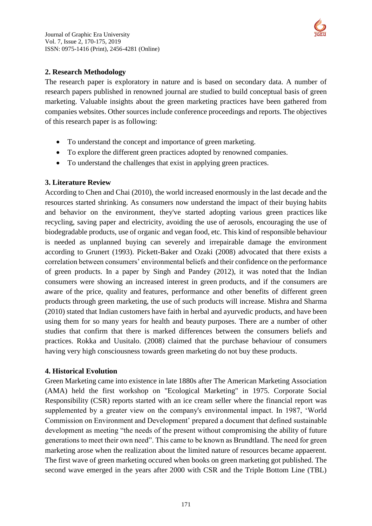

### **2. Research Methodology**

The research paper is exploratory in nature and is based on secondary data. A number of research papers published in renowned journal are studied to build conceptual basis of green marketing. Valuable insights about the green marketing practices have been gathered from companies websites. Other sources include conference proceedings and reports. The objectives of this research paper is as following:

- To understand the concept and importance of green marketing.
- To explore the different green practices adopted by renowned companies.
- To understand the challenges that exist in applying green practices.

### **3. Literature Review**

According to Chen and Chai (2010), the world increased enormously in the last decade and the resources started shrinking. As consumers now understand the impact of their buying habits and behavior on the environment, they've started adopting various green practices like recycling, saving paper and electricity, avoiding the use of aerosols, encouraging the use of biodegradable products, use of organic and vegan food, etc. This kind of responsible behaviour is needed as unplanned buying can severely and irrepairable damage the environment according to Grunert (1993). Pickett-Baker and Ozaki (2008) advocated that there exists a correlation between consumers' environmental beliefs and their confidence on the performance of green products. In a paper by Singh and Pandey (2012), it was noted that the Indian consumers were showing an increased interest in green products, and if the consumers are aware of the price, quality and features, performance and other benefits of different green products through green marketing, the use of such products will increase. Mishra and Sharma (2010) stated that Indian customers have faith in herbal and ayurvedic products, and have been using them for so many years for health and beauty purposes. There are a number of other studies that confirm that there is marked differences between the consumers beliefs and practices. Rokka and Uusitalo. (2008) claimed that the purchase behaviour of consumers having very high consciousness towards green marketing do not buy these products.

### **4. Historical Evolution**

Green Marketing came into existence in late 1880s after The American Marketing Association (AMA) held the first workshop on "Ecological Marketing" in 1975. Corporate Social Responsibility (CSR) reports started with an ice cream seller where the financial report was supplemented by a greater view on the company's environmental impact. In 1987, 'World Commission on Environment and Development' prepared a document that defined sustainable development as meeting "the needs of the present without compromising the ability of future generations to meet their own need". This came to be known as Brundtland. The need for green marketing arose when the realization about the limited nature of resources became appaerent. The first wave of green marketing occured when books on green marketing got published. The second wave emerged in the years after 2000 with CSR and the Triple Bottom Line (TBL)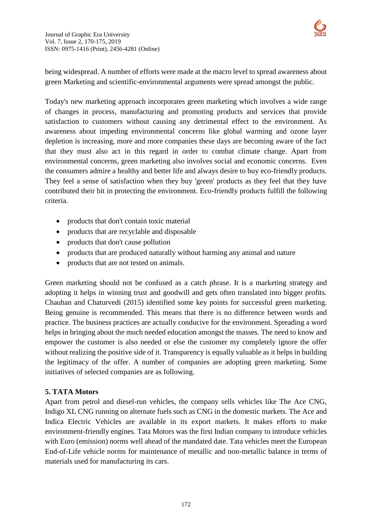

being widespread. A number of efforts were made at the macro level to spread awareness about green Marketing and scientific-environmental arguments were spread amongst the public.

Today's new marketing approach incorporates green marketing which involves a wide range of changes in process, manufacturing and promoting products and services that provide satisfaction to customers without causing any detrimental effect to the environment. As awareness about impeding environmental concerns like global warming and ozone layer depletion is increasing, more and more companies these days are becoming aware of the fact that they must also act in this regard in order to combat climate change. Apart from environmental concerns, green marketing also involves social and economic concerns. Even the consumers admire a healthy and better life and always desire to buy eco-friendly products. They feel a sense of satisfaction when they buy 'green' products as they feel that they have contributed their bit in protecting the environment. Eco-friendly products fulfill the following criteria.

- products that don't contain toxic material
- products that are recyclable and disposable
- products that don't cause pollution
- products that are produced naturally without harming any animal and nature
- products that are not tested on animals.

Green marketing should not be confused as a catch phrase. It is a marketing strategy and adopting it helps in winning trust and goodwill and gets often translated into bigger profits. Chauhan and Chaturvedi (2015) identified some key points for successful green marketing. Being genuine is recommended. This means that there is no difference between words and practice. The business practices are actually conducive for the environment. Spreading a word helps in bringing about the much needed education amongst the masses. The need to know and empower the customer is also needed or else the customer my completely ignore the offer without realizing the positive side of it. Transparency is equally valuable as it helps in building the legitimacy of the offer. A number of companies are adopting green marketing. Some initiatives of selected companies are as following.

### **5. TATA Motors**

Apart from petrol and diesel-run vehicles, the company sells vehicles like The Ace CNG, Indigo XL CNG running on alternate fuels such as CNG in the domestic markets. The Ace and Indica Electric Vehicles are available in its export markets. It makes efforts to make environment-friendly engines. Tata Motors was the first Indian company to introduce vehicles with Euro (emission) norms well ahead of the mandated date. Tata vehicles meet the European End-of-Life vehicle norms for maintenance of metallic and non-metallic balance in terms of materials used for manufacturing its cars.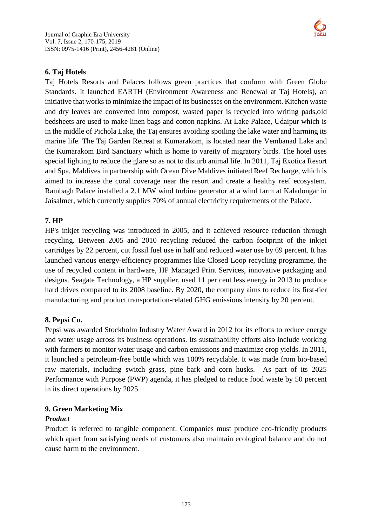

### **6. Taj Hotels**

Taj Hotels Resorts and Palaces follows green practices that conform with Green Globe Standards. It launched EARTH (Environment Awareness and Renewal at Taj Hotels), an initiative that works to minimize the impact of its businesses on the environment. Kitchen waste and dry leaves are converted into compost, wasted paper is recycled into writing pads,old bedsheets are used to make linen bags and cotton napkins. At Lake Palace, Udaipur which is in the middle of Pichola Lake, the Taj ensures avoiding spoiling the lake water and harming its marine life. The Taj Garden Retreat at Kumarakom, is located near the Vembanad Lake and the Kumarakom Bird Sanctuary which is home to vareity of migratory birds. The hotel uses special lighting to reduce the glare so as not to disturb animal life. In 2011, Taj Exotica Resort and Spa, Maldives in partnership with Ocean Dive Maldives initiated Reef Recharge, which is aimed to increase the coral coverage near the resort and create a healthy reef ecosystem. Rambagh Palace installed a 2.1 MW wind turbine generator at a wind farm at Kaladongar in Jaisalmer, which currently supplies 70% of annual electricity requirements of the Palace.

### **7. HP**

HP's inkjet recycling was introduced in 2005, and it achieved resource reduction through recycling. Between 2005 and 2010 recycling reduced the carbon footprint of the inkjet cartridges by 22 percent, cut fossil fuel use in half and reduced water use by 69 percent. It has launched various energy-efficiency programmes like Closed Loop recycling programme, the use of recycled content in hardware, HP Managed Print Services, innovative packaging and designs. Seagate Technology, a HP supplier, used 11 per cent less energy in 2013 to produce hard drives compared to its 2008 baseline. By 2020, the company aims to reduce its first-tier manufacturing and product transportation-related GHG emissions intensity by 20 percent.

### **8. Pepsi Co.**

Pepsi was awarded Stockholm Industry Water Award in 2012 for its efforts to reduce energy and water usage across its business operations. Its sustainability efforts also include working with farmers to monitor water usage and carbon emissions and maximize crop yields. In 2011, it launched a petroleum-free bottle which was 100% recyclable. It was made from bio-based raw materials, including switch grass, pine bark and corn husks. As part of its 2025 Performance with Purpose (PWP) agenda, it has pledged to reduce food waste by 50 percent in its direct operations by 2025.

## **9. Green Marketing Mix**

### *Product*

Product is referred to tangible component. Companies must produce eco-friendly products which apart from satisfying needs of customers also maintain ecological balance and do not cause harm to the environment.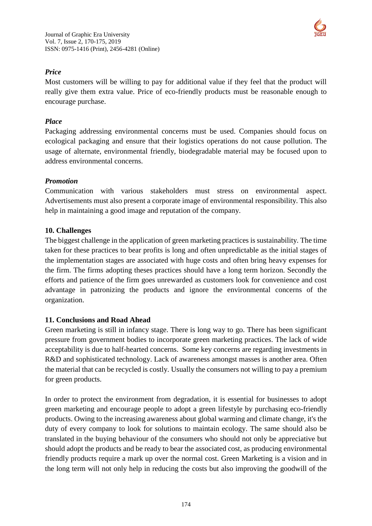

# *Price*

Most customers will be willing to pay for additional value if they feel that the product will really give them extra value. Price of eco-friendly products must be reasonable enough to encourage purchase.

# *Place*

Packaging addressing environmental concerns must be used. Companies should focus on ecological packaging and ensure that their logistics operations do not cause pollution. The usage of alternate, environmental friendly, biodegradable material may be focused upon to address environmental concerns.

## *Promotion*

Communication with various stakeholders must stress on environmental aspect. Advertisements must also present a corporate image of environmental responsibility. This also help in maintaining a good image and reputation of the company.

## **10. Challenges**

The biggest challenge in the application of green marketing practices is sustainability. The time taken for these practices to bear profits is long and often unpredictable as the initial stages of the implementation stages are associated with huge costs and often bring heavy expenses for the firm. The firms adopting theses practices should have a long term horizon. Secondly the efforts and patience of the firm goes unrewarded as customers look for convenience and cost advantage in patronizing the products and ignore the environmental concerns of the organization.

## **11. Conclusions and Road Ahead**

Green marketing is still in infancy stage. There is long way to go. There has been significant pressure from government bodies to incorporate green marketing practices. The lack of wide acceptability is due to half-hearted concerns. Some key concerns are regarding investments in R&D and sophisticated technology. Lack of awareness amongst masses is another area. Often the material that can be recycled is costly. Usually the consumers not willing to pay a premium for green products.

In order to protect the environment from degradation, it is essential for businesses to adopt green marketing and encourage people to adopt a green lifestyle by purchasing eco-friendly products. Owing to the increasing awareness about global warming and climate change, it's the duty of every company to look for solutions to maintain ecology. The same should also be translated in the buying behaviour of the consumers who should not only be appreciative but should adopt the products and be ready to bear the associated cost, as producing environmental friendly products require a mark up over the normal cost. Green Marketing is a vision and in the long term will not only help in reducing the costs but also improving the goodwill of the